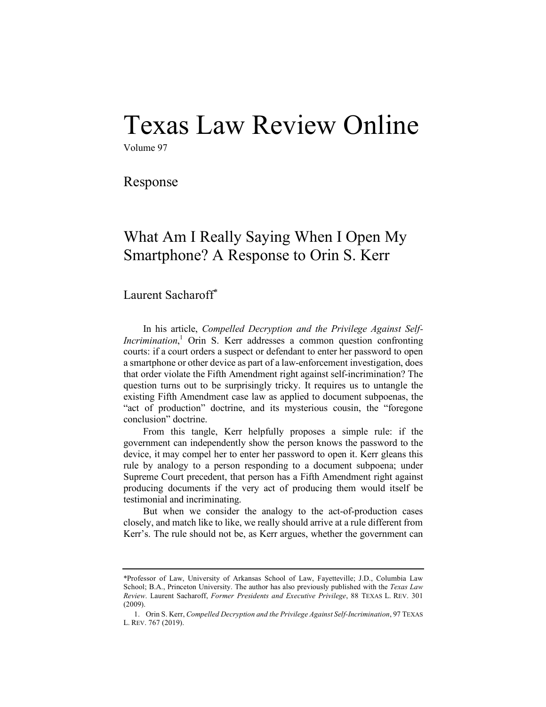# Texas Law Review Online

Volume 97

Response

## What Am I Really Saying When I Open My Smartphone? A Response to Orin S. Kerr

### Laurent Sacharoff\*

In his article, *Compelled Decryption and the Privilege Against Self-Incrimination*,<sup>1</sup> Orin S. Kerr addresses a common question confronting courts: if a court orders a suspect or defendant to enter her password to open a smartphone or other device as part of a law-enforcement investigation, does that order violate the Fifth Amendment right against self-incrimination? The question turns out to be surprisingly tricky. It requires us to untangle the existing Fifth Amendment case law as applied to document subpoenas, the "act of production" doctrine, and its mysterious cousin, the "foregone conclusion" doctrine.

From this tangle, Kerr helpfully proposes a simple rule: if the government can independently show the person knows the password to the device, it may compel her to enter her password to open it. Kerr gleans this rule by analogy to a person responding to a document subpoena; under Supreme Court precedent, that person has a Fifth Amendment right against producing documents if the very act of producing them would itself be testimonial and incriminating.

But when we consider the analogy to the act-of-production cases closely, and match like to like, we really should arrive at a rule different from Kerr's. The rule should not be, as Kerr argues, whether the government can

<sup>\*</sup>Professor of Law, University of Arkansas School of Law, Fayetteville; J.D., Columbia Law School; B.A., Princeton University. The author has also previously published with the *Texas Law Review*. Laurent Sacharoff, *Former Presidents and Executive Privilege*, 88 TEXAS L. REV. 301 (2009).

<sup>1.</sup> Orin S. Kerr, *Compelled Decryption and the Privilege Against Self-Incrimination*, 97 TEXAS L. REV. 767 (2019).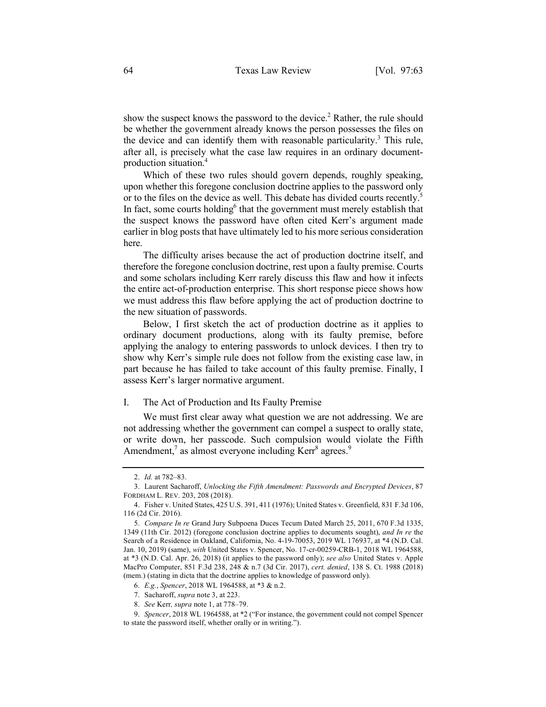show the suspect knows the password to the device.<sup>2</sup> Rather, the rule should be whether the government already knows the person possesses the files on the device and can identify them with reasonable particularity.<sup>3</sup> This rule, after all, is precisely what the case law requires in an ordinary documentproduction situation.4

Which of these two rules should govern depends, roughly speaking, upon whether this foregone conclusion doctrine applies to the password only or to the files on the device as well. This debate has divided courts recently.<sup>5</sup> In fact, some courts holding<sup>6</sup> that the government must merely establish that the suspect knows the password have often cited Kerr's argument made earlier in blog posts that have ultimately led to his more serious consideration here.

The difficulty arises because the act of production doctrine itself, and therefore the foregone conclusion doctrine, rest upon a faulty premise. Courts and some scholars including Kerr rarely discuss this flaw and how it infects the entire act-of-production enterprise. This short response piece shows how we must address this flaw before applying the act of production doctrine to the new situation of passwords.

Below, I first sketch the act of production doctrine as it applies to ordinary document productions, along with its faulty premise, before applying the analogy to entering passwords to unlock devices. I then try to show why Kerr's simple rule does not follow from the existing case law, in part because he has failed to take account of this faulty premise. Finally, I assess Kerr's larger normative argument.

#### I. The Act of Production and Its Faulty Premise

We must first clear away what question we are not addressing. We are not addressing whether the government can compel a suspect to orally state, or write down, her passcode. Such compulsion would violate the Fifth Amendment,<sup>7</sup> as almost everyone including Kerr<sup>8</sup> agrees.<sup>9</sup>

<sup>2.</sup> *Id.* at 782–83.

<sup>3.</sup> Laurent Sacharoff, *Unlocking the Fifth Amendment: Passwords and Encrypted Devices*, 87 FORDHAM L. REV. 203, 208 (2018).

<sup>4.</sup> Fisher v. United States, 425 U.S. 391, 411 (1976); United States v. Greenfield, 831 F.3d 106, 116 (2d Cir. 2016).

<sup>5.</sup> *Compare In re* Grand Jury Subpoena Duces Tecum Dated March 25, 2011, 670 F.3d 1335, 1349 (11th Cir. 2012) (foregone conclusion doctrine applies to documents sought), *and In re* the Search of a Residence in Oakland, California, No. 4-19-70053, 2019 WL 176937, at \*4 (N.D. Cal. Jan. 10, 2019) (same), *with* United States v. Spencer, No. 17-cr-00259-CRB-1, 2018 WL 1964588, at \*3 (N.D. Cal. Apr. 26, 2018) (it applies to the password only); *see also* United States v. Apple MacPro Computer, 851 F.3d 238, 248 & n.7 (3d Cir. 2017), *cert. denied*, 138 S. Ct. 1988 (2018) (mem.) (stating in dicta that the doctrine applies to knowledge of password only).

<sup>6.</sup> *E.g.*, *Spencer*, 2018 WL 1964588, at \*3 & n.2.

<sup>7.</sup> Sacharoff, *supra* note 3, at 223.

<sup>8.</sup> *See* Kerr*, supra* note 1, at 778–79.

<sup>9.</sup> *Spencer*, 2018 WL 1964588, at \*2 ("For instance, the government could not compel Spencer to state the password itself, whether orally or in writing.").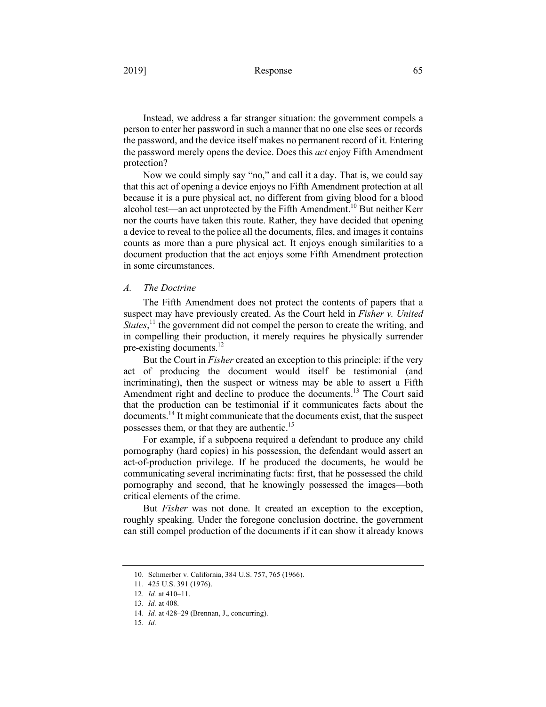#### 2019] Response 65

Instead, we address a far stranger situation: the government compels a person to enter her password in such a manner that no one else sees or records the password, and the device itself makes no permanent record of it. Entering the password merely opens the device. Does this *act* enjoy Fifth Amendment protection?

Now we could simply say "no," and call it a day. That is, we could say that this act of opening a device enjoys no Fifth Amendment protection at all because it is a pure physical act, no different from giving blood for a blood alcohol test—an act unprotected by the Fifth Amendment.10 But neither Kerr nor the courts have taken this route. Rather, they have decided that opening a device to reveal to the police all the documents, files, and images it contains counts as more than a pure physical act. It enjoys enough similarities to a document production that the act enjoys some Fifth Amendment protection in some circumstances.

#### *A. The Doctrine*

The Fifth Amendment does not protect the contents of papers that a suspect may have previously created. As the Court held in *Fisher v. United States*,<sup>11</sup> the government did not compel the person to create the writing, and in compelling their production, it merely requires he physically surrender pre-existing documents.<sup>12</sup>

But the Court in *Fisher* created an exception to this principle: if the very act of producing the document would itself be testimonial (and incriminating), then the suspect or witness may be able to assert a Fifth Amendment right and decline to produce the documents.<sup>13</sup> The Court said that the production can be testimonial if it communicates facts about the documents.14 It might communicate that the documents exist, that the suspect possesses them, or that they are authentic.15

For example, if a subpoena required a defendant to produce any child pornography (hard copies) in his possession, the defendant would assert an act-of-production privilege. If he produced the documents, he would be communicating several incriminating facts: first, that he possessed the child pornography and second, that he knowingly possessed the images—both critical elements of the crime.

But *Fisher* was not done. It created an exception to the exception, roughly speaking. Under the foregone conclusion doctrine, the government can still compel production of the documents if it can show it already knows

<sup>10.</sup> Schmerber v. California, 384 U.S. 757, 765 (1966).

<sup>11.</sup> 425 U.S. 391 (1976).

<sup>12.</sup> *Id.* at 410–11.

<sup>13.</sup> *Id.* at 408.

<sup>14.</sup> *Id.* at 428–29 (Brennan, J., concurring).

<sup>15.</sup> *Id.*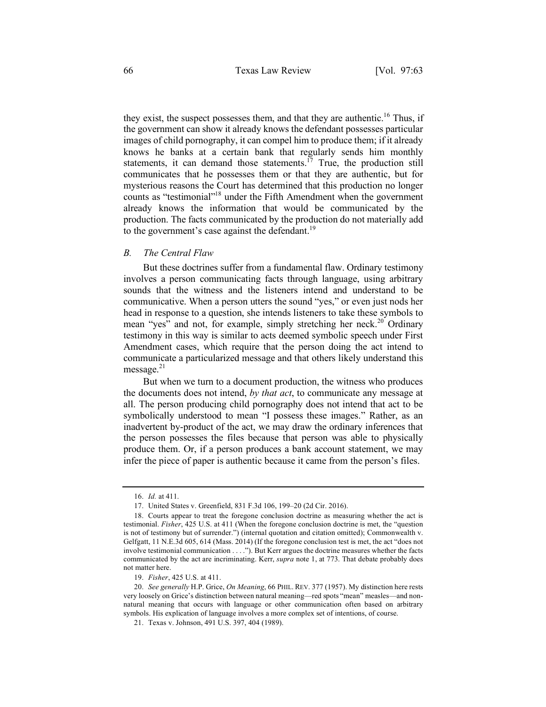they exist, the suspect possesses them, and that they are authentic.<sup>16</sup> Thus, if the government can show it already knows the defendant possesses particular images of child pornography, it can compel him to produce them; if it already knows he banks at a certain bank that regularly sends him monthly statements, it can demand those statements.<sup>17</sup> True, the production still communicates that he possesses them or that they are authentic, but for mysterious reasons the Court has determined that this production no longer counts as "testimonial"18 under the Fifth Amendment when the government already knows the information that would be communicated by the production. The facts communicated by the production do not materially add to the government's case against the defendant.<sup>19</sup>

#### *B. The Central Flaw*

But these doctrines suffer from a fundamental flaw. Ordinary testimony involves a person communicating facts through language, using arbitrary sounds that the witness and the listeners intend and understand to be communicative. When a person utters the sound "yes," or even just nods her head in response to a question, she intends listeners to take these symbols to mean "yes" and not, for example, simply stretching her neck.<sup>20</sup> Ordinary testimony in this way is similar to acts deemed symbolic speech under First Amendment cases, which require that the person doing the act intend to communicate a particularized message and that others likely understand this message. $21$ 

But when we turn to a document production, the witness who produces the documents does not intend, *by that act*, to communicate any message at all. The person producing child pornography does not intend that act to be symbolically understood to mean "I possess these images." Rather, as an inadvertent by-product of the act, we may draw the ordinary inferences that the person possesses the files because that person was able to physically produce them. Or, if a person produces a bank account statement, we may infer the piece of paper is authentic because it came from the person's files.

<sup>16.</sup> *Id.* at 411.

<sup>17.</sup> United States v. Greenfield, 831 F.3d 106, 199–20 (2d Cir. 2016).

<sup>18.</sup> Courts appear to treat the foregone conclusion doctrine as measuring whether the act is testimonial. *Fisher*, 425 U.S. at 411 (When the foregone conclusion doctrine is met, the "question is not of testimony but of surrender.") (internal quotation and citation omitted); Commonwealth v. Gelfgatt, 11 N.E.3d 605, 614 (Mass. 2014) (If the foregone conclusion test is met, the act "does not involve testimonial communication . . . ."). But Kerr argues the doctrine measures whether the facts communicated by the act are incriminating. Kerr, *supra* note 1, at 773. That debate probably does not matter here.

<sup>19.</sup> *Fisher*, 425 U.S. at 411.

<sup>20.</sup> *See generally* H.P. Grice, *On Meaning*, 66 PHIL. REV. 377 (1957). My distinction here rests very loosely on Grice's distinction between natural meaning—red spots "mean" measles—and nonnatural meaning that occurs with language or other communication often based on arbitrary symbols. His explication of language involves a more complex set of intentions, of course.

<sup>21.</sup> Texas v. Johnson, 491 U.S. 397, 404 (1989).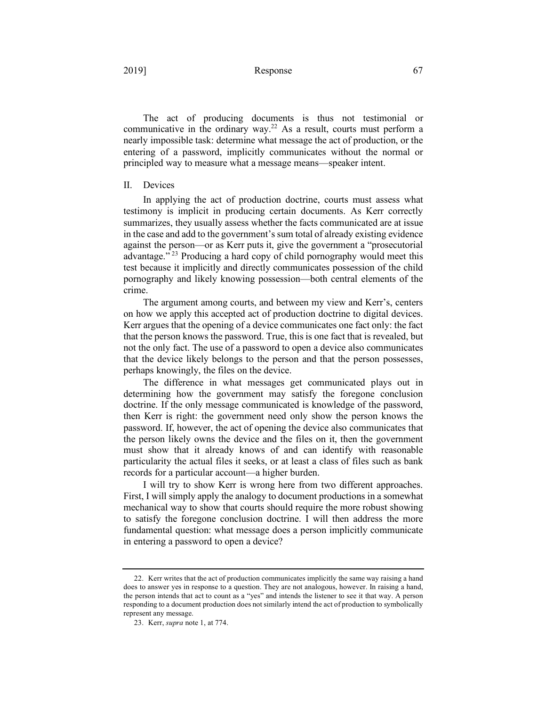#### 2019] Response 67

The act of producing documents is thus not testimonial or communicative in the ordinary way.22 As a result, courts must perform a nearly impossible task: determine what message the act of production, or the entering of a password, implicitly communicates without the normal or principled way to measure what a message means—speaker intent.

#### II. Devices

In applying the act of production doctrine, courts must assess what testimony is implicit in producing certain documents. As Kerr correctly summarizes, they usually assess whether the facts communicated are at issue in the case and add to the government's sum total of already existing evidence against the person—or as Kerr puts it, give the government a "prosecutorial advantage."<sup> $23$ </sup> Producing a hard copy of child pornography would meet this test because it implicitly and directly communicates possession of the child pornography and likely knowing possession—both central elements of the crime.

The argument among courts, and between my view and Kerr's, centers on how we apply this accepted act of production doctrine to digital devices. Kerr argues that the opening of a device communicates one fact only: the fact that the person knows the password. True, this is one fact that is revealed, but not the only fact. The use of a password to open a device also communicates that the device likely belongs to the person and that the person possesses, perhaps knowingly, the files on the device.

The difference in what messages get communicated plays out in determining how the government may satisfy the foregone conclusion doctrine. If the only message communicated is knowledge of the password, then Kerr is right: the government need only show the person knows the password. If, however, the act of opening the device also communicates that the person likely owns the device and the files on it, then the government must show that it already knows of and can identify with reasonable particularity the actual files it seeks, or at least a class of files such as bank records for a particular account—a higher burden.

I will try to show Kerr is wrong here from two different approaches. First, I will simply apply the analogy to document productions in a somewhat mechanical way to show that courts should require the more robust showing to satisfy the foregone conclusion doctrine. I will then address the more fundamental question: what message does a person implicitly communicate in entering a password to open a device?

<sup>22.</sup> Kerr writes that the act of production communicates implicitly the same way raising a hand does to answer yes in response to a question. They are not analogous, however. In raising a hand, the person intends that act to count as a "yes" and intends the listener to see it that way. A person responding to a document production does not similarly intend the act of production to symbolically represent any message.

<sup>23.</sup> Kerr, *supra* note 1, at 774.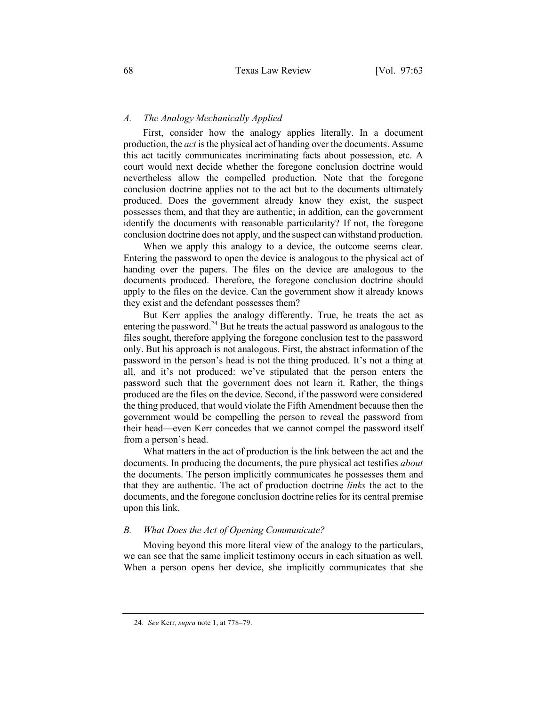#### *A. The Analogy Mechanically Applied*

First, consider how the analogy applies literally. In a document production, the *act* is the physical act of handing over the documents. Assume this act tacitly communicates incriminating facts about possession, etc. A court would next decide whether the foregone conclusion doctrine would nevertheless allow the compelled production. Note that the foregone conclusion doctrine applies not to the act but to the documents ultimately produced. Does the government already know they exist, the suspect possesses them, and that they are authentic; in addition, can the government identify the documents with reasonable particularity? If not, the foregone conclusion doctrine does not apply, and the suspect can withstand production.

When we apply this analogy to a device, the outcome seems clear. Entering the password to open the device is analogous to the physical act of handing over the papers. The files on the device are analogous to the documents produced. Therefore, the foregone conclusion doctrine should apply to the files on the device. Can the government show it already knows they exist and the defendant possesses them?

But Kerr applies the analogy differently. True, he treats the act as entering the password.<sup>24</sup> But he treats the actual password as analogous to the files sought, therefore applying the foregone conclusion test to the password only. But his approach is not analogous. First, the abstract information of the password in the person's head is not the thing produced. It's not a thing at all, and it's not produced: we've stipulated that the person enters the password such that the government does not learn it. Rather, the things produced are the files on the device. Second, if the password were considered the thing produced, that would violate the Fifth Amendment because then the government would be compelling the person to reveal the password from their head—even Kerr concedes that we cannot compel the password itself from a person's head.

What matters in the act of production is the link between the act and the documents. In producing the documents, the pure physical act testifies *about* the documents. The person implicitly communicates he possesses them and that they are authentic. The act of production doctrine *links* the act to the documents, and the foregone conclusion doctrine relies for its central premise upon this link.

#### *B. What Does the Act of Opening Communicate?*

Moving beyond this more literal view of the analogy to the particulars, we can see that the same implicit testimony occurs in each situation as well. When a person opens her device, she implicitly communicates that she

<sup>24.</sup> *See* Kerr*, supra* note 1, at 778–79.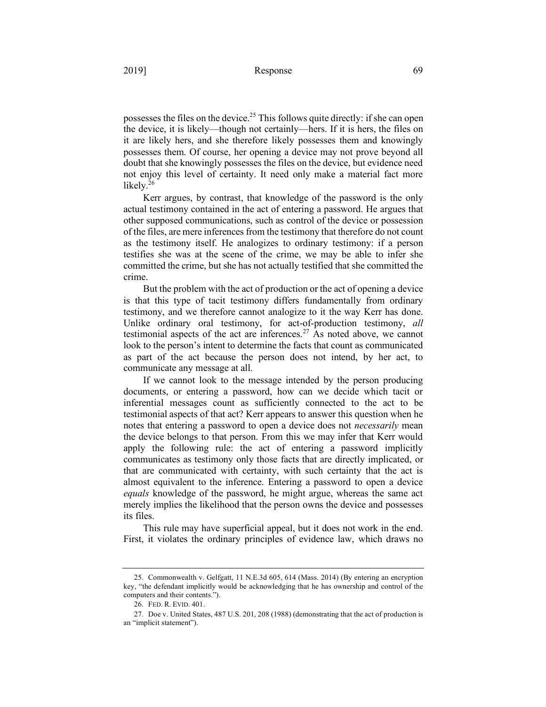possesses the files on the device.25 This follows quite directly: if she can open the device, it is likely—though not certainly—hers. If it is hers, the files on it are likely hers, and she therefore likely possesses them and knowingly possesses them. Of course, her opening a device may not prove beyond all doubt that she knowingly possesses the files on the device, but evidence need not enjoy this level of certainty. It need only make a material fact more likely.<sup>26</sup>

Kerr argues, by contrast, that knowledge of the password is the only actual testimony contained in the act of entering a password. He argues that other supposed communications, such as control of the device or possession of the files, are mere inferences from the testimony that therefore do not count as the testimony itself. He analogizes to ordinary testimony: if a person testifies she was at the scene of the crime, we may be able to infer she committed the crime, but she has not actually testified that she committed the crime.

But the problem with the act of production or the act of opening a device is that this type of tacit testimony differs fundamentally from ordinary testimony, and we therefore cannot analogize to it the way Kerr has done. Unlike ordinary oral testimony, for act-of-production testimony, *all*  testimonial aspects of the act are inferences.<sup>27</sup> As noted above, we cannot look to the person's intent to determine the facts that count as communicated as part of the act because the person does not intend, by her act, to communicate any message at all.

If we cannot look to the message intended by the person producing documents, or entering a password, how can we decide which tacit or inferential messages count as sufficiently connected to the act to be testimonial aspects of that act? Kerr appears to answer this question when he notes that entering a password to open a device does not *necessarily* mean the device belongs to that person. From this we may infer that Kerr would apply the following rule: the act of entering a password implicitly communicates as testimony only those facts that are directly implicated, or that are communicated with certainty, with such certainty that the act is almost equivalent to the inference. Entering a password to open a device *equals* knowledge of the password, he might argue, whereas the same act merely implies the likelihood that the person owns the device and possesses its files.

This rule may have superficial appeal, but it does not work in the end. First, it violates the ordinary principles of evidence law, which draws no

<sup>25.</sup> Commonwealth v. Gelfgatt, 11 N.E.3d 605, 614 (Mass. 2014) (By entering an encryption key, "the defendant implicitly would be acknowledging that he has ownership and control of the computers and their contents.").

<sup>26.</sup> FED. R. EVID. 401.

<sup>27.</sup> Doe v. United States, 487 U.S. 201, 208 (1988) (demonstrating that the act of production is an "implicit statement").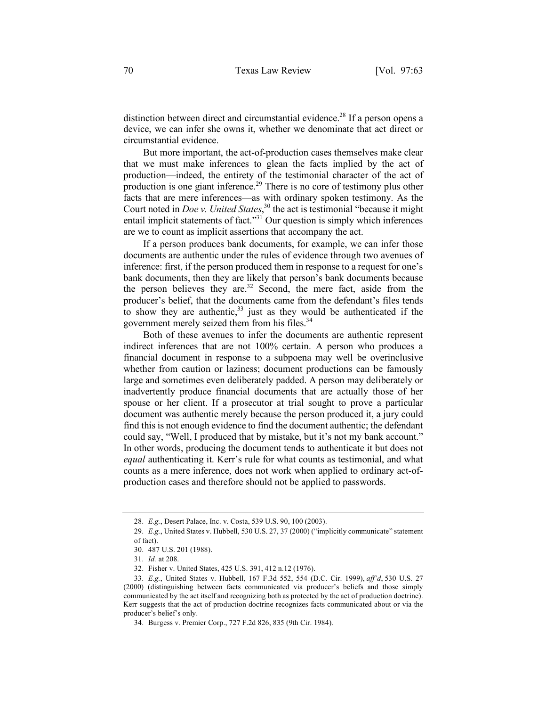distinction between direct and circumstantial evidence.<sup>28</sup> If a person opens a device, we can infer she owns it, whether we denominate that act direct or circumstantial evidence.

But more important, the act-of-production cases themselves make clear that we must make inferences to glean the facts implied by the act of production—indeed, the entirety of the testimonial character of the act of production is one giant inference.<sup>29</sup> There is no core of testimony plus other facts that are mere inferences—as with ordinary spoken testimony. As the Court noted in *Doe v. United States*, <sup>30</sup> the act is testimonial "because it might entail implicit statements of fact."<sup>31</sup> Our question is simply which inferences are we to count as implicit assertions that accompany the act.

If a person produces bank documents, for example, we can infer those documents are authentic under the rules of evidence through two avenues of inference: first, if the person produced them in response to a request for one's bank documents, then they are likely that person's bank documents because the person believes they are.<sup>32</sup> Second, the mere fact, aside from the producer's belief, that the documents came from the defendant's files tends to show they are authentic,  $33$  just as they would be authenticated if the government merely seized them from his files.<sup>34</sup>

Both of these avenues to infer the documents are authentic represent indirect inferences that are not 100% certain. A person who produces a financial document in response to a subpoena may well be overinclusive whether from caution or laziness; document productions can be famously large and sometimes even deliberately padded. A person may deliberately or inadvertently produce financial documents that are actually those of her spouse or her client. If a prosecutor at trial sought to prove a particular document was authentic merely because the person produced it, a jury could find this is not enough evidence to find the document authentic; the defendant could say, "Well, I produced that by mistake, but it's not my bank account." In other words, producing the document tends to authenticate it but does not *equal* authenticating it. Kerr's rule for what counts as testimonial, and what counts as a mere inference, does not work when applied to ordinary act-ofproduction cases and therefore should not be applied to passwords.

<sup>28.</sup> *E.g.*, Desert Palace, Inc. v. Costa, 539 U.S. 90, 100 (2003).

<sup>29.</sup> *E.g.*, United States v. Hubbell, 530 U.S. 27, 37 (2000) ("implicitly communicate" statement of fact).

<sup>30.</sup> 487 U.S. 201 (1988).

<sup>31.</sup> *Id.* at 208.

<sup>32.</sup> Fisher v. United States, 425 U.S. 391, 412 n.12 (1976).

<sup>33.</sup> *E.g.*, United States v. Hubbell, 167 F.3d 552, 554 (D.C. Cir. 1999), *aff'd*, 530 U.S. 27 (2000) (distinguishing between facts communicated via producer's beliefs and those simply communicated by the act itself and recognizing both as protected by the act of production doctrine). Kerr suggests that the act of production doctrine recognizes facts communicated about or via the producer's belief's only.

<sup>34.</sup> Burgess v. Premier Corp., 727 F.2d 826, 835 (9th Cir. 1984).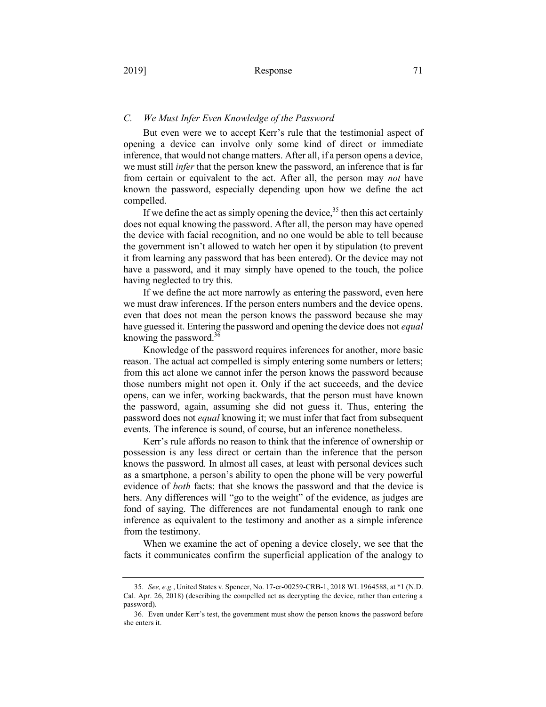## *C. We Must Infer Even Knowledge of the Password*

But even were we to accept Kerr's rule that the testimonial aspect of opening a device can involve only some kind of direct or immediate inference, that would not change matters. After all, if a person opens a device, we must still *infer* that the person knew the password, an inference that is far from certain or equivalent to the act. After all, the person may *not* have known the password, especially depending upon how we define the act compelled.

If we define the act as simply opening the device,  $35$  then this act certainly does not equal knowing the password. After all, the person may have opened the device with facial recognition, and no one would be able to tell because the government isn't allowed to watch her open it by stipulation (to prevent it from learning any password that has been entered). Or the device may not have a password, and it may simply have opened to the touch, the police having neglected to try this.

If we define the act more narrowly as entering the password, even here we must draw inferences. If the person enters numbers and the device opens, even that does not mean the person knows the password because she may have guessed it. Entering the password and opening the device does not *equal*  knowing the password.<sup>36</sup>

Knowledge of the password requires inferences for another, more basic reason. The actual act compelled is simply entering some numbers or letters; from this act alone we cannot infer the person knows the password because those numbers might not open it. Only if the act succeeds, and the device opens, can we infer, working backwards, that the person must have known the password, again, assuming she did not guess it. Thus, entering the password does not *equal* knowing it; we must infer that fact from subsequent events. The inference is sound, of course, but an inference nonetheless.

Kerr's rule affords no reason to think that the inference of ownership or possession is any less direct or certain than the inference that the person knows the password. In almost all cases, at least with personal devices such as a smartphone, a person's ability to open the phone will be very powerful evidence of *both* facts: that she knows the password and that the device is hers. Any differences will "go to the weight" of the evidence, as judges are fond of saying. The differences are not fundamental enough to rank one inference as equivalent to the testimony and another as a simple inference from the testimony.

When we examine the act of opening a device closely, we see that the facts it communicates confirm the superficial application of the analogy to

<sup>35.</sup> *See, e.g.*, United States v. Spencer, No. 17-cr-00259-CRB-1, 2018 WL 1964588, at \*1 (N.D. Cal. Apr. 26, 2018) (describing the compelled act as decrypting the device, rather than entering a password).

<sup>36.</sup> Even under Kerr's test, the government must show the person knows the password before she enters it.